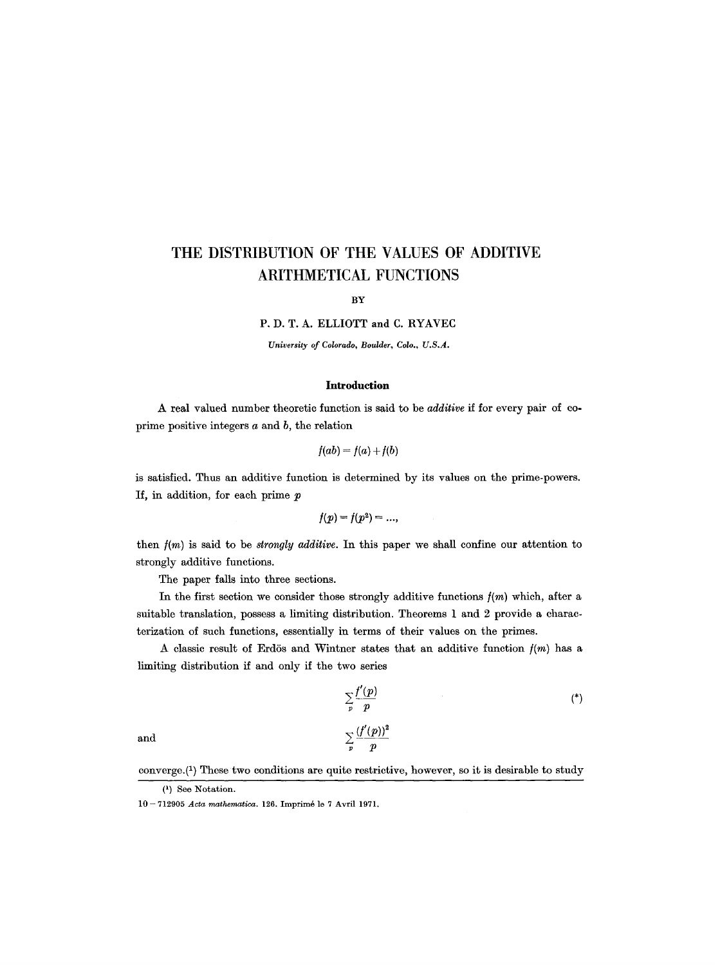# **THE DISTRIBUTION OF THE VALUES OF ADDITIVE ARITHMETICAL FUNCTIONS**

BY

P. D. T. A. ELLIOTT and C. RYAVEC

*University of Colorado, Boulder, Colo., U.S.A.* 

## **Introduction**

A real valued number theoretic function is said to be *additive if* for every pair of coprime positive integers a and *b,* the relation

$$
f(ab) = f(a) + f(b)
$$

is satisfied. Thus an additive function is determined by its values on the prime-powers. If, in addition, for each prime  $p$ 

$$
f(p)=f(p^2)=...,
$$

then *f(m)* is said to be *strongly additive.* In this paper we shall confine our attention to strongly additive functions.

The paper falls into three sections.

In the first section we consider those strongly additive functions  $f(m)$  which, after a suitable translation, possess a hmiting distribution. Theorems 1 and 2 provide a characterization of such functions, essentially in terms of their values on the primes.

A classic result of Erdös and Wintner states that an additive function  $f(m)$  has a limiting distribution if and only if the two series

$$
\sum_{p} \frac{f'(p)}{p}
$$
\n
$$
\sum_{p} \frac{(f'(p))^2}{p}
$$
\n
$$
(*)
$$

converge. $(1)$  These two conditions are quite restrictive, however, so it is desirable to study

<sup>(~)</sup> See Notation.

<sup>10-712905</sup> *Acta mathematica*. 126. Imprimé le 7 Avril 1971.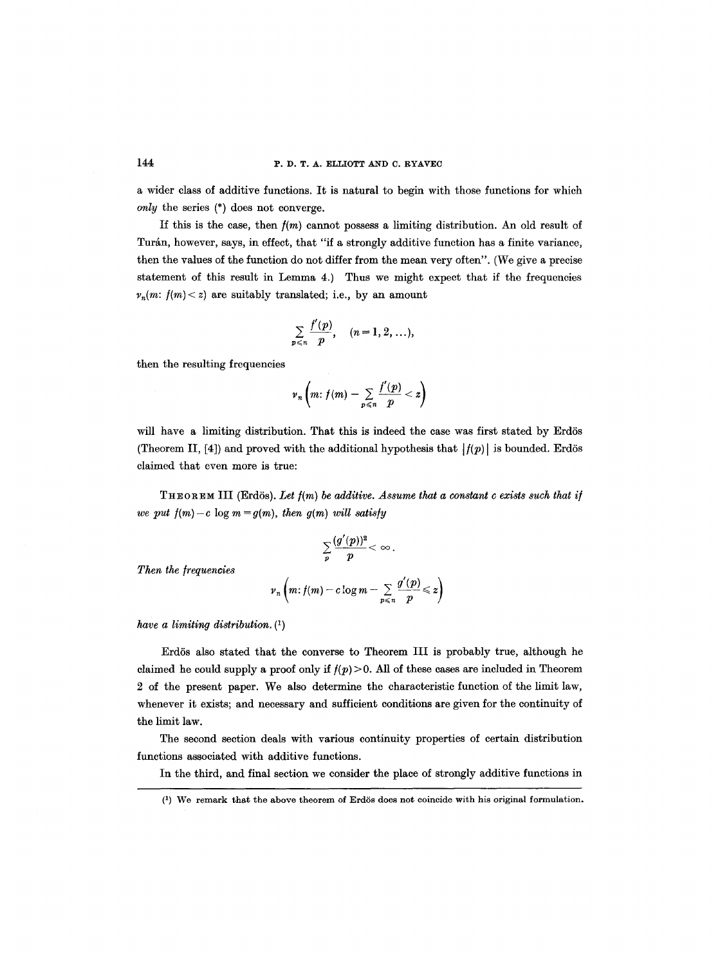a wider class of additive functions. It is natural to begin with those functions for which *only* the series (\*) does not converge.

If this is the case, then  $f(m)$  cannot possess a limiting distribution. An old result of Turán, however, says, in effect, that "if a strongly additive function has a finite variance, then the values of the function do not differ from the mean very often". (We give a precise statement of this result in Lemma 4.) Thus we might expect that if the frequencies  $v_n(m: f(m) < z)$  are suitably translated; i.e., by an amount

$$
\sum_{p\leqslant n}\frac{f'(p)}{p},\quad (n=1,2,\ldots),
$$

then the resulting frequencies

$$
\nu_n\left(m\colon f(m)-\sum_{p\leqslant n}\frac{f'(p)}{p}
$$

will have a limiting distribution. That this is indeed the case was first stated by Erdös (Theorem II, [4]) and proved with the additional hypothesis that  $|f(p)|$  is bounded. Erdös claimed that even more is true:

THEOREM III (Erdös). Let  $f(m)$  be additive. Assume that a constant c exists such that if *we put*  $f(m) - c$  *log m = g(m), then g(m) will satisfy* 

$$
\sum_p \frac{(g'(p))^2}{p} < \infty\,.
$$

*Then the frequencies* 

$$
\nu_n\left(m\colon f(m)-c\log m-\sum_{p\leqslant n}\frac{g'(p)}{p}\leqslant z\right)
$$

*have a limiting distribution. (1)* 

Erdös also stated that the converse to Theorem III is probably true, although he claimed he could supply a proof only if  $f(p) > 0$ . All of these cases are included in Theorem 2 of the present paper. We also determine the characteristic function of the limit law, whenever it exists; and necessary and sufficient conditions are given for the continuity of the limit law.

The second section deals with various continuity properties of certain distribution functions associated with additive functions.

In the third, and final section we consider the place of strongly additive functions in

<sup>(1)</sup> We remark that the above theorem of Erd6s does not coincide with his original formulation.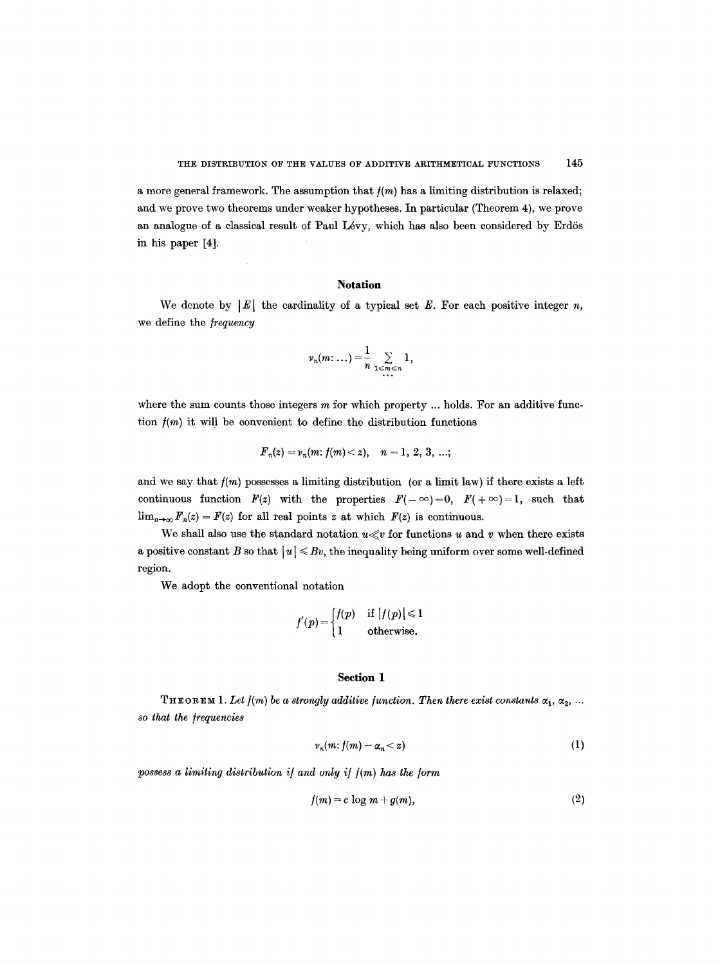a more general framework. The assumption that  $f(m)$  has a limiting distribution is relaxed; and we prove two theorems under weaker hypotheses. In particular (Theorem 4), we prove an analogue of a classical result of Paul Lévy, which has also been considered by Erdös in his paper [4].

## **Notation**

We denote by  $|E|$  the cardinality of a typical set E. For each positive integer n, we define the *frequency* 

$$
\nu_n(m\colon \dots) = \frac{1}{n} \sum_{1 \leq m \leq n} 1,
$$

where the sum counts those integers  $m$  for which property  $\ldots$  holds. For an additive function  $f(m)$  it will be convenient to define the distribution functions

$$
F_n(z) = v_n(m; f(m) < z), \quad n = 1, 2, 3, \ldots;
$$

and we say that  $f(m)$  possesses a limiting distribution (or a limit law) if there exists a left continuous function  $F(z)$  with the properties  $F(-\infty)=0$ ,  $F(+\infty)=1$ , such that  $\lim_{n\to\infty}F_n(z) = F(z)$  for all real points z at which  $F(z)$  is continuous.

We shall also use the standard notation  $u \ll v$  for functions u and v when there exists a positive constant B so that  $|u| \leq Bv$ , the inequality being uniform over some well-defined region.

We adopt the conventional notation

$$
f'(p) = \begin{cases} f(p) & \text{if } |f(p)| \leq 1 \\ 1 & \text{otherwise.} \end{cases}
$$

## **Section 1**

THEOREM 1. Let  $f(m)$  be a strongly additive function. Then there exist constants  $\alpha_1, \alpha_2, ...$ *so that the/r~uencies* 

$$
v_n(m: f(m) - \alpha_n < z) \tag{1}
$$

possess a limiting distribution if and only if  $f(m)$  has the form

$$
f(m) = c \log m + g(m), \tag{2}
$$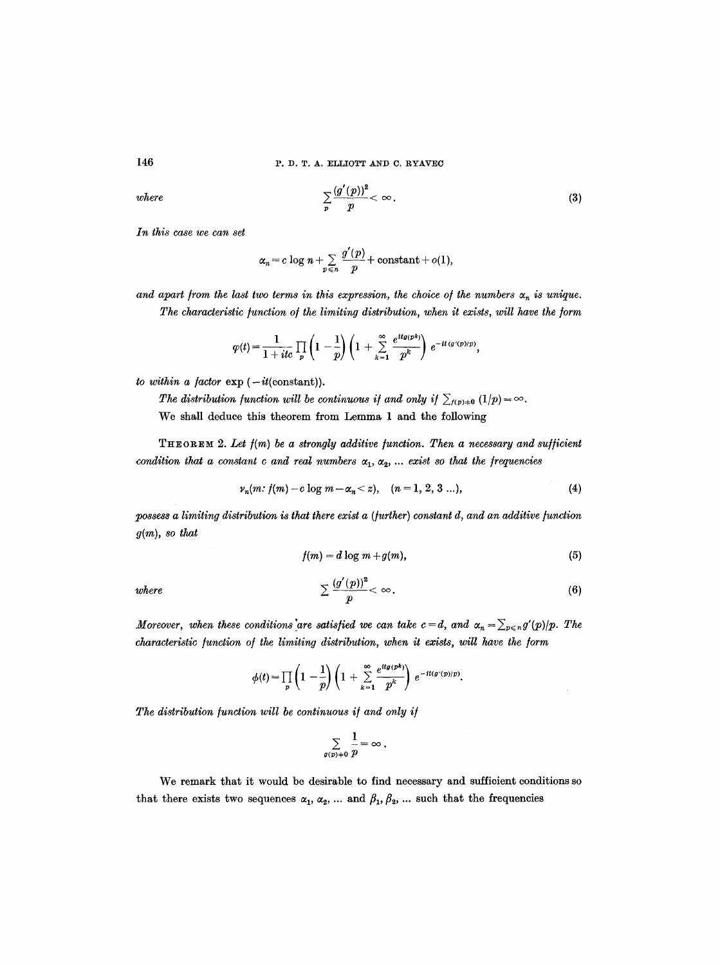146 P.D.T. A. ELLIOTT AND C. RYAVEC

where 
$$
\sum_{p} \frac{(g'(p))^2}{p} < \infty.
$$
 (3)

*In this case we can set* 

$$
\alpha_n = c \log n + \sum_{p \leq n} \frac{g'(p)}{p} + \text{constant} + o(1),
$$

and apart from the last two terms in this expression, the choice of the numbers  $\alpha_n$  is unique. The characteristic function of the limiting distribution, when it exists, will have the form

$$
\varphi(t) = \frac{1}{1+ itc} \prod_p \left(1 - \frac{1}{p}\right) \left(1 + \sum_{k=1}^{\infty} \frac{e^{itg(pk)}}{p^k}\right) e^{-it(g'(p)/p)},
$$

*to within a factor*  $\exp(-it$ (constant)).

*The distribution function will be continuous if and only if*  $\sum_{f(p)+0} (1/p) = \infty$ . We shall deduce this theorem from Lemma 1 and the following

THEOREM 2. Let  $f(m)$  be a strongly additive function. Then a necessary and sufficient *condition that a constant c and real numbers*  $\alpha_1, \alpha_2, \ldots$  *exist so that the frequencies* 

$$
v_n(m: f(m) - c \log m - \alpha_n < z), \quad (n = 1, 2, 3 \ldots), \tag{4}
$$

*possess a limiting distribution is that there exist a (/urther) constant d, and an additive/unction g(m), so that* 

$$
f(m) = d \log m + g(m), \tag{5}
$$

*where* 

$$
\sum \frac{(g'(p))^2}{p} < \infty. \tag{6}
$$

*Moreover, when these conditions'are satisfied we can take*  $c = d$ *, and*  $\alpha_n = \sum_{p \le n} g'(p)/p$ *. The characteristic function of the limiting distribution, when it exists, will have the form* 

$$
\phi(t) = \prod_p \left(1 - \frac{1}{p}\right) \left(1 + \sum_{k=1}^{\infty} \frac{e^{itg(pk)}}{p^k}\right) e^{-it(g'(p)/p)}.
$$

The distribution function will be continuous if and only if

$$
\sum_{g(p)\pm 0}\frac{1}{p}=\infty.
$$

We remark that it would be desirable to find necessary and sufficient conditions so that there exists two sequences  $\alpha_1, \alpha_2, \ldots$  and  $\beta_1, \beta_2, \ldots$  such that the frequencies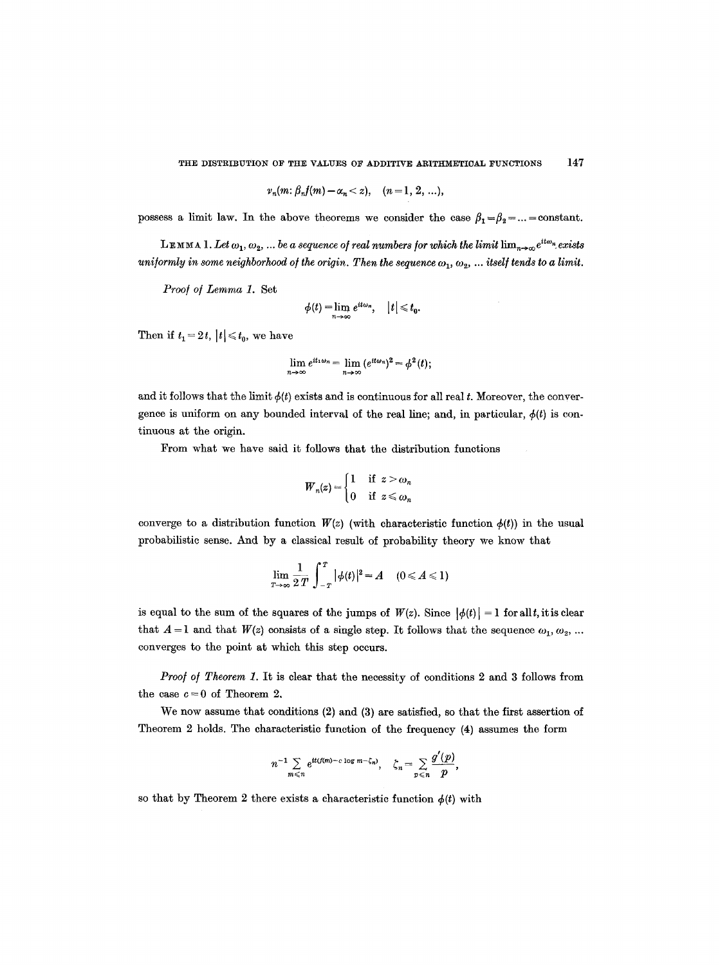THE DISTRIBUTION OF THE VALUES OF ADDITIVE ARITHMETICAL FUNCTIONS 147

$$
v_n(m: \beta_n f(m) - \alpha_n < z), \quad (n = 1, 2, ...),
$$

possess a limit law. In the above theorems we consider the case  $\beta_1 = \beta_2 = ... =$  constant.

LEMMA 1. Let  $\omega_1, \omega_2, ...$  be a sequence of real numbers for which the limit  $\lim_{n\to\infty} e^{it\omega_n}$  exists *uniformly in some neighborhood of the origin. Then the sequence*  $\omega_1, \omega_2, \ldots$  *itself tends to a limit.* 

*Proo/ o/ Lemma 1.* Set

$$
\phi(t) = \lim_{n \to \infty} e^{it\omega_n}, \quad |t| \leq t_0.
$$

Then if  $t_1 = 2t$ ,  $|t| \leq t_0$ , we have

$$
\lim_{n\to\infty}e^{it_1\omega_n}=\lim_{n\to\infty}(e^{it\omega_n})^2=\phi^2(t);
$$

and it follows that the limit  $\phi(t)$  exists and is continuous for all real t. Moreover, the convergence is uniform on any bounded interval of the real line; and, in particular,  $\phi(t)$  is continuous at the origin.

From what we have said it follows that the distribution functions

$$
W_n(z) = \begin{cases} 1 & \text{if } z > \omega_n \\ 0 & \text{if } z \leqslant \omega_n \end{cases}
$$

converge to a distribution function  $W(z)$  (with characteristic function  $\phi(t)$ ) in the usual probabilistic sense. And by a classical result of probability theory we know that

$$
\lim_{T\to\infty}\frac{1}{2T}\int_{-T}^{T}|\phi(t)|^{2}=A\quad(0\leqslant A\leqslant 1)
$$

is equal to the sum of the squares of the jumps of  $W(z)$ . Since  $|\phi(t)| = 1$  for all t, it is clear that  $A = 1$  and that  $W(z)$  consists of a single step. It follows that the sequence  $\omega_1, \omega_2, ...$ converges to the point at which this step occurs.

*Proof of Theorem 1.* It is clear that the necessity of conditions 2 and 3 follows from the case  $c = 0$  of Theorem 2.

We now assume that conditions (2) and (3) are satisfied, so that the first assertion of Theorem 2 holds. The characteristic function of the frequency (4) assumes the form

$$
n^{-1} \sum_{m \leq n} e^{it(f(m)-c \log m - \zeta_n)}, \quad \zeta_n = \sum_{p \leq n} \frac{g'(p)}{p},
$$

so that by Theorem 2 there exists a characteristic function  $\phi(t)$  with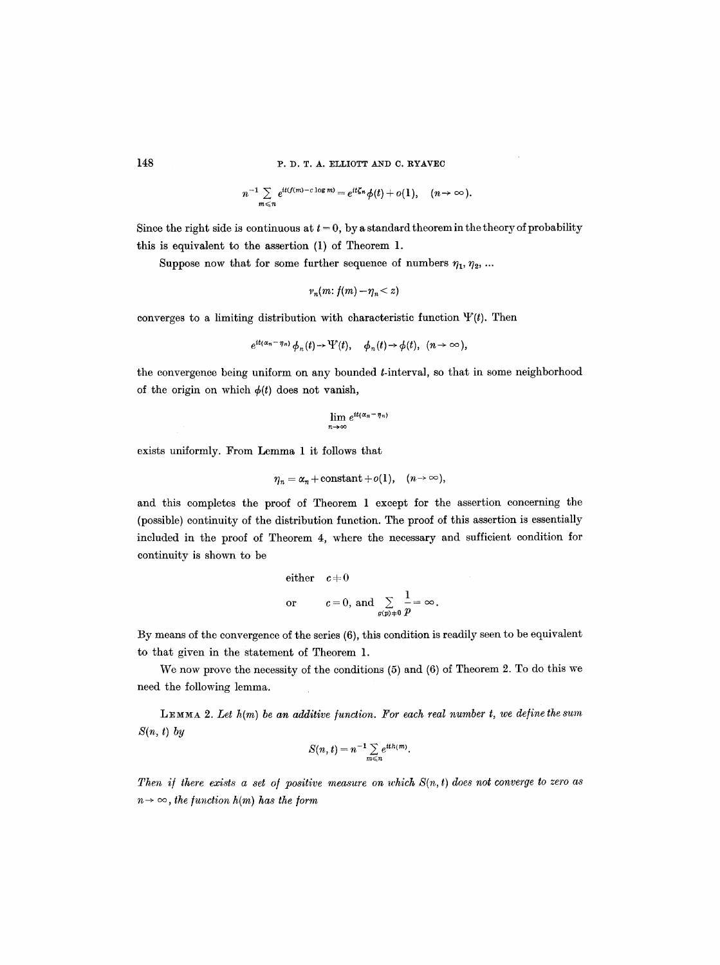148 P.D.T.A. ELLIOTT AND C. RYAVEC

$$
n^{-1}\sum_{m\leq n}e^{it(f(m)-c\log m)}=e^{it\zeta_n}\phi(t)+o(1),\quad (n\to\infty).
$$

Since the right side is continuous at  $t = 0$ , by a standard theorem in the theory of probability this is equivalent to the assertion (1) of Theorem 1.

Suppose now that for some further sequence of numbers  $\eta_1, \eta_2, ...$ 

$$
v_n(m: f(m) - \eta_n < z)
$$

converges to a limiting distribution with characteristic function  $\Psi(t)$ . Then

$$
e^{it(\alpha_n-\eta_n)}\phi_n(t)\to \Psi(t), \quad \phi_n(t)\to \phi(t), \ \ (n\to\infty),
$$

the convergence being uniform on any bounded t-interval, so that in some neighborhood of the origin on which  $\phi(t)$  does not vanish,

$$
\lim_{n\to\infty}e^{it(\alpha_n-\eta_n)}
$$

exists uniformly. From Lemma 1 it follows that

$$
\eta_n = \alpha_n + \text{constant} + o(1), \quad (n \to \infty),
$$

and this completes the proof of Theorem 1 except for the assertion concerning the (possible) continuity of the distribution function. The proof of this assertion is essentially included in the proof of Theorem 4, where the necessary and sufficient condition for continuity is shown to be

either 
$$
c+0
$$
  
or  $c=0$ , and  $\sum_{g(p)+0} \frac{1}{p} = \infty$ 

By means of the convergence of the series (6), this condition is readily seen to be equivalent to that given in the statement of Theorem 1.

We now prove the necessity of the conditions (5) and (6) of Theorem 2. To do this we need the following lemma.

 $L_{EMMA}$  2. Let  $h(m)$  be an additive function. For each real number t, we define the sum *S(n, t) by* 

$$
S(n,t)=n^{-1}\sum_{m\leq n}e^{ith(m)}.
$$

*Then if there exists a set of positive measure on which*  $S(n, t)$  does not converge to zero as  $n \rightarrow \infty$ , the function  $h(m)$  has the form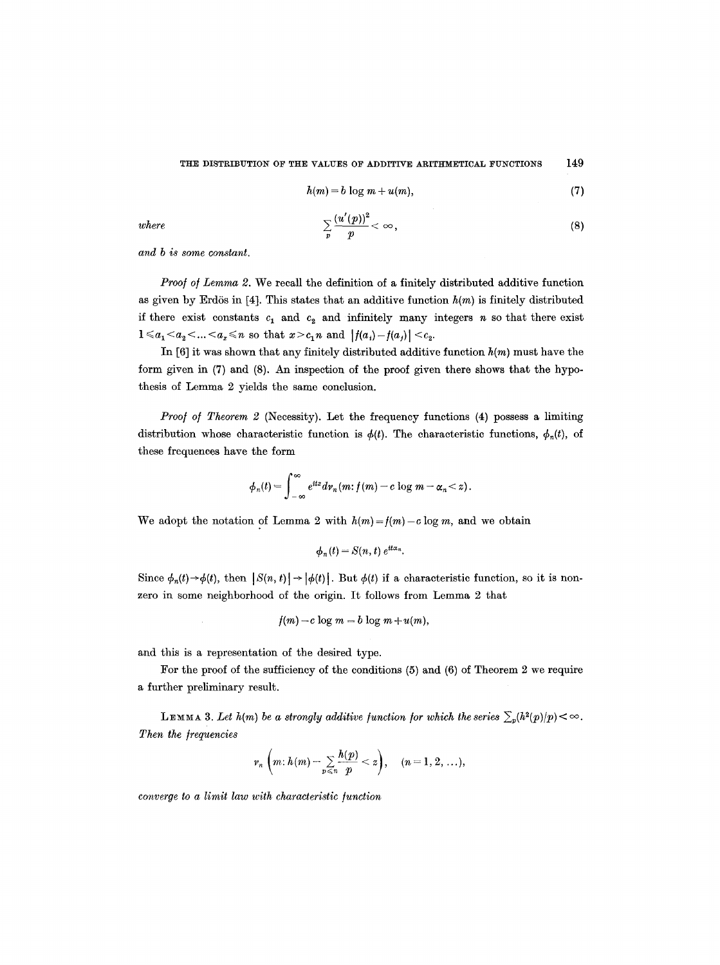#### THE DISTRIBUTION OF THE VALUES OF ADDITIVE ARITHMETICAL FUNCTIONS 149

$$
h(m) = b \log m + u(m), \tag{7}
$$

*where* 

$$
\sum_{p} \frac{(u'(p))^2}{p} < \infty,\tag{8}
$$

*and b is some constant.* 

*Proof of Lemma 2.* We recall the definition of a finitely distributed additive function as given by Erdös in [4]. This states that an additive function  $h(m)$  is finitely distributed if there exist constants  $c_1$  and  $c_2$  and infinitely many integers n so that there exist  $1 \leq a_1 < a_2 < ... < a_x \leq n$  so that  $x > c_1 n$  and  $|f(a_i) - f(a_j)| < c_2$ .

In [6] it was shown that any finitely distributed additive function *h(m)* must have the form given in (7) and (8). An inspection of the proof given there shows that the hypothesis of Lemma 2 yields the same conclusion.

*Proo/ o/ Theorem 2* (Necessity). Let the frequency functions (4) possess a limiting distribution whose characteristic function is  $\phi(t)$ . The characteristic functions,  $\phi_n(t)$ , of these ffequences have the form

$$
\phi_n(t) = \int_{-\infty}^{\infty} e^{itz} dv_n(m; f(m) - c \log m - \alpha_n < z).
$$

We adopt the notation of Lemma 2 with  $h(m)=f(m)-c \log m$ , and we obtain

$$
\phi_n(t) = S(n, t) e^{it\alpha_n}.
$$

Since  $\phi_n(t) \rightarrow \phi(t)$ , then  $|S(n, t)| \rightarrow |\phi(t)|$ . But  $\phi(t)$  if a characteristic function, so it is nonzero in some neighborhood of the origin. It follows from Lemma 2 that

$$
f(m)-c\log m=b\log m+u(m),
$$

and this is a representation of the desired type.

 $\mathcal{L}$ 

For the proof of the sufficiency of the conditions (5) and (6) of Theorem 2 we require a further preliminary result.

LEMMA 3. Let  $h(m)$  be a strongly additive function for which the series  $\sum_{p} (h^{2}(p)/p) < \infty$ . **Then the frequencies** 

$$
\nu_n\left(m\colon h(m)-\sum_{p\leqslant n}\frac{h(p)}{p}
$$

*converge to a limit law with characteristic function*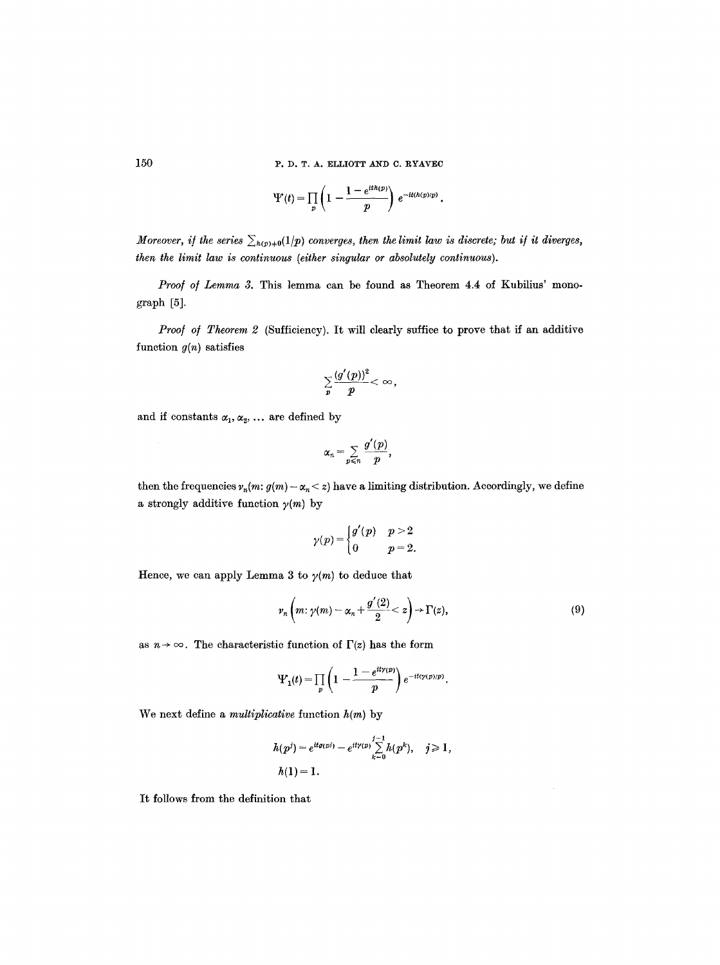150 P.D. T. A. ELLIOTT AND C. RYAVEC

$$
\Psi(t) = \prod_p \left(1 - \frac{1 - e^{ith(p)}}{p}\right) e^{-it(h(p)/p)}.
$$

*Moreover, if the series*  $\sum_{h(p)+0}(1/p)$  *converges, then the limit law is discrete; but if it diverges, then the limit law is continuous (either singular or absolutely continuous).* 

Proof of Lemma 3. This lemma can be found as Theorem 4.4 of Kubilius' monograph [5].

Proof of Theorem 2 (Sufficiency). It will clearly suffice to prove that if an additive function *g(n)* satisfies

$$
\sum_{p}\frac{(g'(p))^2}{p}<\infty,
$$

and if constants  $\alpha_1, \alpha_2, \ldots$  are defined by

$$
\alpha_n=\sum_{p\leqslant n}\frac{g'(p)}{p},
$$

then the frequencies  $v_n(m: g(m) - \alpha_n < z)$  have a limiting distribution. Accordingly, we define a strongly additive function  $\gamma(m)$  by

$$
\gamma(p)\!=\!\begin{cases}g'(p) & p>2\\0 & p=2.\end{cases}
$$

Hence, we can apply Lemma 3 to  $\gamma(m)$  to deduce that

$$
\nu_n\left(m\colon \gamma(m)-\alpha_n+\frac{g'(2)}{2}
$$

as  $n \to \infty$ . The characteristic function of  $\Gamma(z)$  has the form

$$
\Psi_1(t) = \prod_p \left(1 - \frac{1 - e^{it\gamma(p)}}{p}\right) e^{-it\langle \gamma(p)/p \rangle}.
$$

We next define a *multiplicative* function h(m) by

$$
h(p^{j}) = e^{itq(pj)} - e^{it\gamma(p)} \sum_{k=0}^{j-1} h(p^{k}), \quad j \geq 1,
$$
  

$$
h(1) = 1.
$$

It follows from the definition that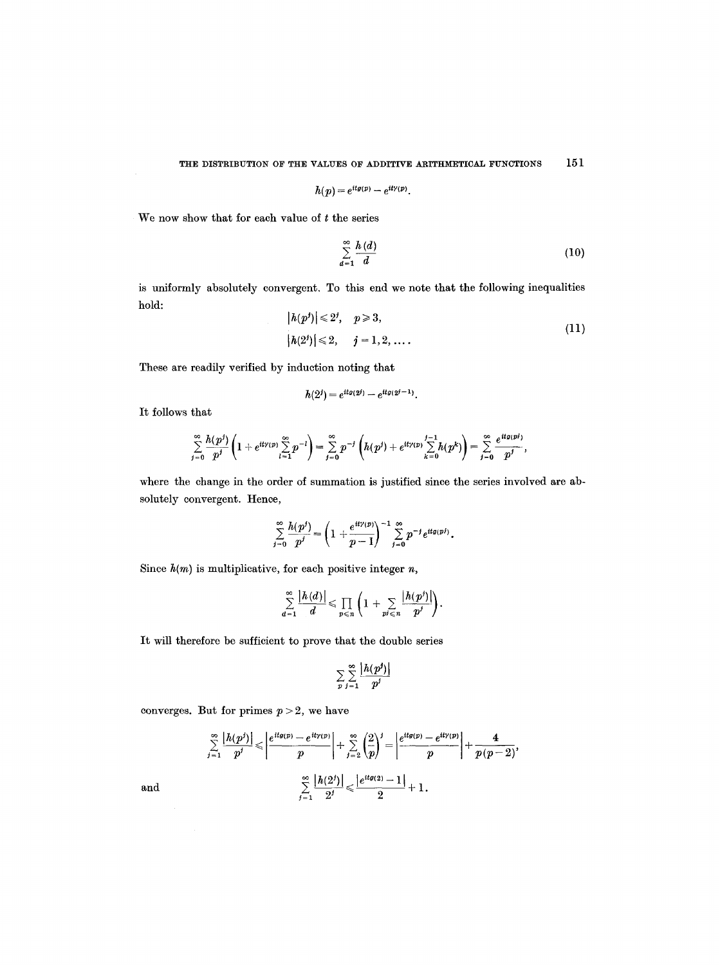$$
h(p) = e^{itg(p)} - e^{it\gamma(p)}
$$

We now show that for each value of  $t$  the series

$$
\sum_{d=1}^{\infty} \frac{h(d)}{d} \tag{10}
$$

is uniformly absolutely convergent. To this end we note that the following inequalities hold:

$$
|h(p^{j})| \le 2^{j}, \quad p \ge 3,
$$
  
\n
$$
|h(2^{j})| \le 2, \quad j = 1, 2, ....
$$
\n(11)

These are readily verified by induction noting that

$$
h(2^j) = e^{itg(2^j)} - e^{itg(2^j-1)}.
$$

It follows that

$$
\sum_{j=0}^{\infty} \frac{h(p^j)}{p^j} \left(1 + e^{it\gamma(p)} \sum_{i=1}^{\infty} p^{-i}\right) = \sum_{j=0}^{\infty} p^{-j} \left( h(p^j) + e^{it\gamma(p)} \sum_{k=0}^{j-1} h(p^k) \right) = \sum_{j=0}^{\infty} \frac{e^{itg(p^j)}}{p^j},
$$

where the change in the order of summation is justified since the series involved are absolutely convergent. Hence,

$$
\sum_{j=0}^{\infty} \frac{h(p^j)}{p^j} = \left(1 + \frac{e^{it\gamma(p)}}{p-1}\right)^{-1} \sum_{j=0}^{\infty} p^{-j} e^{itg(p^j)}.
$$

Since  $h(m)$  is multiplicative, for each positive integer  $n$ ,

$$
\sum_{d=1}^{\infty} \frac{|h(d)|}{d} \leqslant \prod_{p \leqslant n} \left(1 + \sum_{p \neq \leqslant n} \frac{|h(p^j)|}{p^j}\right).
$$

It will therefore be sufficient to prove that the double series

$$
\sum_{p} \sum_{j=1}^{\infty} \frac{|h(p^j)|}{p^j}
$$

converges. But for primes  $p > 2$ , we have

$$
\sum_{j=1}^{\infty} \frac{|h(p^j)|}{p^j} \leqslant \left| \frac{e^{itg(p)} - e^{it\gamma(p)}}{p} \right| + \sum_{j=2}^{\infty} \left(\frac{2}{p}\right)^j = \left| \frac{e^{itg(p)} - e^{it\gamma(p)}}{p} \right| + \frac{4}{p(p-2)},
$$

$$
\sum_{j=1}^{\infty} \frac{|h(2^j)|}{2^j} \leqslant \frac{|e^{itg(2)} - 1|}{2} + 1.
$$

and

 $\mathcal{A}^{\mathcal{A}}$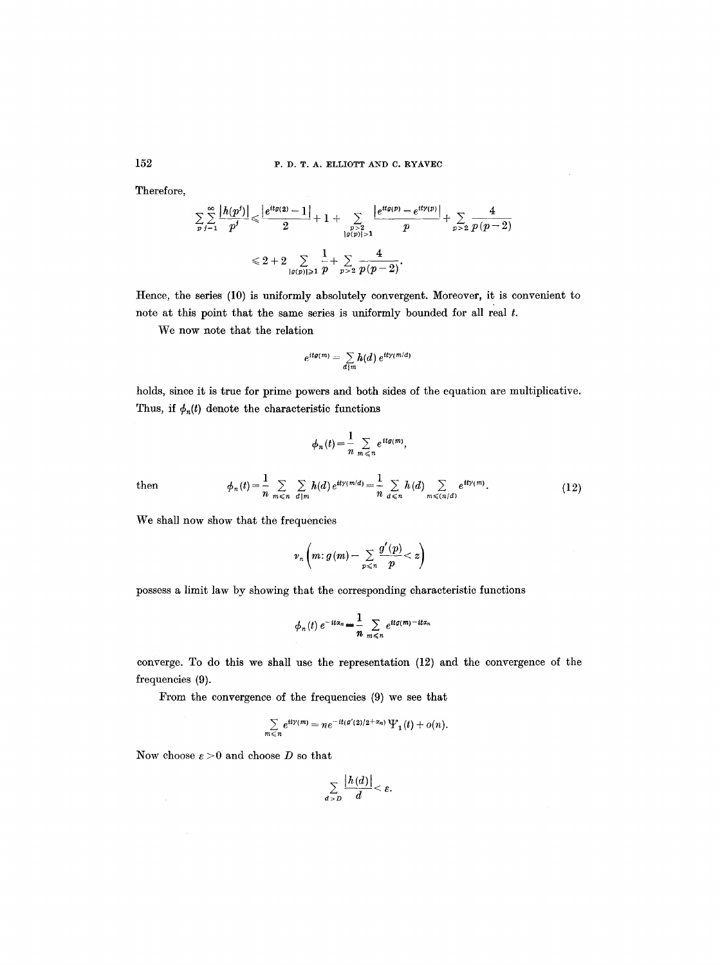#### P. D. T. A. ELLIOTT AND C. RYAVEC

Therefore,

$$
\sum_{p} \sum_{j=1}^{\infty} \frac{|h(p^j)|}{p^j} \leq \frac{|e^{itg(2)} - 1|}{2} + 1 + \sum_{\substack{p > 2 \\ |g(p)| > 1}} \frac{|e^{itg(p)} - e^{ity(p)}|}{p} + \sum_{p > 2} \frac{4}{p(p-2)}
$$
  

$$
\leq 2 + 2 \sum_{|g(p)| \geq 1} \frac{1}{p} + \sum_{p > 2} \frac{4}{p(p-2)}.
$$

Hence, the series (10) is uniformly absolutely convergent. Moreover, it is convenient to note at this point that the same series is uniformly bounded for all real t.

We now note that the relation

$$
e^{itg(m)} = \sum_{d \mid m} h(d) e^{it\gamma(m/d)}
$$

holds, since it is true for prime powers and both sides of the equation are multiplicative. Thus, if  $\phi_n(t)$  denote the characteristic functions

$$
\phi_n(t) = \frac{1}{n} \sum_{m \leq n} e^{it g(m)},
$$

then 
$$
\phi_n(t) = \frac{1}{n} \sum_{m \leq n} \sum_{d \mid m} h(d) e^{it\gamma(m/d)} = \frac{1}{n} \sum_{d \leq n} h(d) \sum_{m \leqslant (n/d)} e^{it\gamma(m)}.
$$
 (12)

We shall now show that the frequencies

$$
\nu_n\left(m:g\left(m\right)-\sum_{p\leqslant n}\frac{g'\left(p\right)}{p}
$$

possess a limit law by showing that the corresponding characteristic functions

$$
\phi_n(t) e^{-it\alpha_n} = \frac{1}{n} \sum_{m \leq n} e^{itg(m)-it\alpha_n}
$$

converge. To do this we shall use the representation (12) and the convergence of the frequencies (9).

From the convergence of the frequencies (9) we see that

$$
\sum_{m\leq n}e^{it\gamma(m)}=ne^{-it(\mathfrak{g}'(2)/2+\alpha_n)}\Psi_1(t)+o(n).
$$

Now choose  $\varepsilon > 0$  and choose D so that

$$
\sum_{d>D}\frac{|h(d)|}{d}<\varepsilon.
$$

152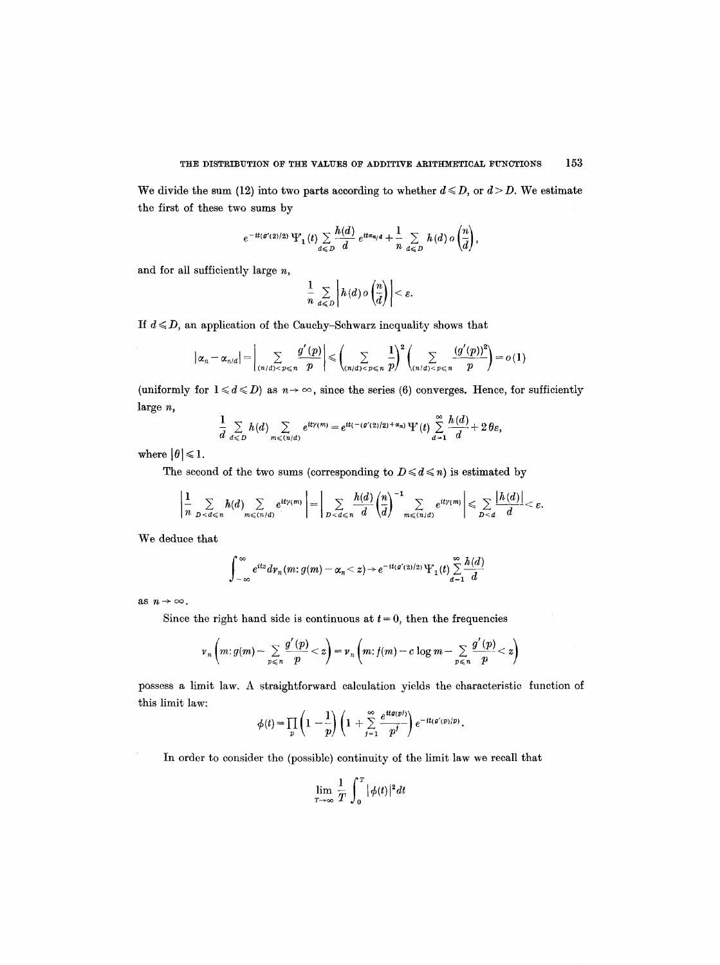We divide the sum (12) into two parts according to whether  $d \le D$ , or  $d > D$ . We estimate the first of these two sums by

$$
e^{-it(g'(2)/2)}\Psi_1(t)\sum_{d\leq D}\frac{h(d)}{d}\,e^{it\alpha_{n/d}}+\frac{1}{n}\sum_{d\leq D}h(d)\,o\left(\frac{n}{d}\right),
$$

and for all sufficiently large  $n$ ,

$$
\frac{1}{n} \sum_{d \leqslant D} \left| h(d) \, o\left(\frac{n}{d}\right) \right| < \varepsilon.
$$

If  $d \le D$ , an application of the Cauchy-Schwarz inequality shows that

$$
\left|\alpha_{n}-\alpha_{n/d}\right|=\left|\sum_{(n/d)
$$

(uniformly for  $1 \le d \le D$ ) as  $n \to \infty$ , since the series (6) converges. Hence, for sufficiently large n,

$$
\frac{1}{d}\sum_{d\leq D}h(d)\sum_{m\leqslant (n/d)}e^{it\gamma(m)}=e^{it(-(\mathfrak{g}'(2)/2)+\alpha_n)}\Psi(t)\sum_{d=1}^{\infty}\frac{h(d)}{d}+2\theta_{\varepsilon},
$$

where  $|\theta| \leq 1$ .

The second of the two sums (corresponding to  $D \leq d \leq n$ ) is estimated by

$$
\left|\frac{1}{n}\sum_{D
$$

We deduce that

$$
\int_{-\infty}^{\infty} e^{itz} d\nu_n(m; g(m) - \alpha_n < z) \to e^{-it(g'(2)/2)} \Psi_1(t) \sum_{d=1}^{\infty} \frac{h(d)}{d}
$$

as  $n \to \infty$ .

Since the right hand side is continuous at  $t = 0$ , then the frequencies

$$
\nu_n\left(m: g(m)-\sum_{p\leq n}\frac{g'(p)}{p}
$$

possess a limit law. A straightforward calculation yields the characteristic function of this limit law:

$$
\phi(t) = \prod_p \left(1 - \frac{1}{p}\right) \left(1 + \sum_{j=1}^{\infty} \frac{e^{itg(pj)}}{p^j}\right) e^{-it(g'(p)/p)}.
$$

In order to consider the (possible) continuity of the limit law we recall that

$$
\lim_{T\to\infty}\frac{1}{T}\int_0^T |\phi(t)|^2 dt
$$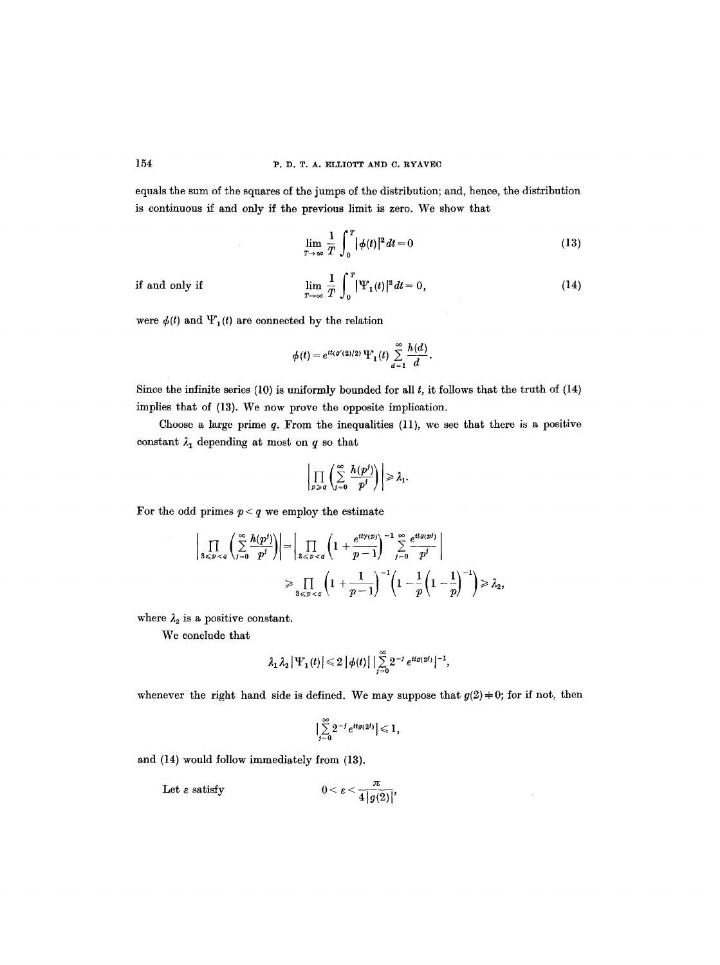## 154 P.D.T.A. ELLIOTT AND C. RYAVEC

equals the sum of the squares of the jumps of the distribution; and, hence, the distribution is continuous if and only if the previous limit is zero. We show that

$$
\lim_{T \to \infty} \frac{1}{T} \int_0^T |\phi(t)|^2 dt = 0 \tag{13}
$$

if and only if

$$
\lim_{T \to \infty} \frac{1}{T} \int_0^T |\Psi_1(t)|^2 dt = 0, \tag{14}
$$

were  $\phi(t)$  and  $\Psi_1(t)$  are connected by the relation

$$
\phi(t)=e^{it(\varrho'(2)/2)}\,\Psi_1(t)\sum_{d=1}^\infty \frac{h(d)}{d}.
$$

Since the infinite series  $(10)$  is uniformly bounded for all  $t$ , it follows that the truth of  $(14)$ implies that of (13). We now prove the opposite implication.

Choose a large prime  $q$ . From the inequalities  $(11)$ , we see that there is a positive constant  $\lambda_1$  depending at most on  $q$  so that

$$
\Bigg|\prod_{p\,\geqslant\, q}\Bigg(\sum_{j=0}^\infty\frac{h(p^j)}{p^j}\Bigg)\Bigg|\geqslant \lambda_1.
$$

For the odd primes  $p < q$  we employ the estimate

$$
\left|\prod_{3\leq p
$$
\geq \prod_{3\leq p
$$
$$

where  $\lambda_2$  is a positive constant.

We conclude that

$$
\lambda_1 \lambda_2 \left|\Psi_1(t)\right| \leq 2 \left|\phi(t)\right| \left|\sum_{j=0}^{\infty} 2^{-j} e^{it g(2^j)}\right|^{-1},
$$

whenever the right hand side is defined. We may suppose that  $g(2) \neq 0$ ; for if not, then

$$
\Bigl|\sum_{j=0}^\infty 2^{-j} e^{itg(2^j)}\Bigr|\leqslant 1,
$$

and (14) would follow immediately from (13).

Let  $\varepsilon$  satisfy  $0 < \varepsilon < \frac{\pi}{4|g(2)|}$ ,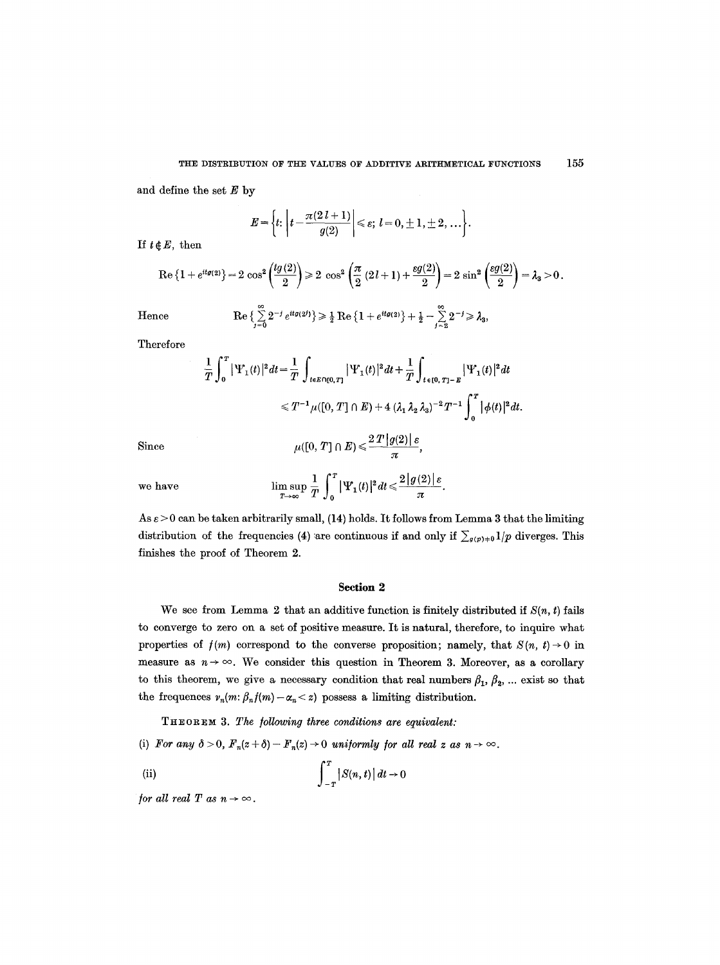and define the set  $E$  by

$$
E = \left\{ t \colon \left| t - \frac{\pi(2 l + 1)}{g(2)} \right| \leqslant \varepsilon; \ l = 0, \pm 1, \pm 2, \ldots \right\}.
$$

If  $t \notin E$ , then

$$
\operatorname{Re}\left\{1+e^{itg(2)}\right\}=2\,\cos^2\left(\frac{tg(2)}{2}\right)\geq 2\,\cos^2\left(\frac{\pi}{2}\,(2\,l+1)+\frac{\varepsilon g(2)}{2}\right)=2\,\sin^2\left(\frac{\varepsilon g(2)}{2}\right)=\lambda_3>0\,.
$$

Hence

$$
\operatorname{Re}\left\{\sum_{j=0}^\infty 2^{-j} e^{itg(2^j)}\right\}\geqslant \frac{1}{2}\operatorname{Re}\left\{1+e^{itg(2)}\right\}+\frac{1}{2}-\sum_{j=2}^\infty 2^{-j}\geqslant \lambda_3,
$$

Therefore

$$
\frac{1}{T} \int_0^T |\Psi_1(t)|^2 dt = \frac{1}{T} \int_{t \in E \cap [0,T]} |\Psi_1(t)|^2 dt + \frac{1}{T} \int_{t \in [0,T]-E} |\Psi_1(t)|^2 dt
$$
  

$$
\leq T^{-1} \mu([0,T] \cap E) + 4 (\lambda_1 \lambda_2 \lambda_3)^{-2} T^{-1} \int_0^T |\phi(t)|^2 dt.
$$

Since  $u([0, T] \cap E) \leq \frac{2 \cdot 2 \cdot 1 \cdot |g(z)| \cdot e}{\cdot}$ 

$$
\pi
$$
  
we have 
$$
\limsup_{T \to \infty} \frac{1}{T} \int_0^T |\Psi_1(t)|^2 dt \leqslant \frac{2|g(2)|\varepsilon}{\pi}
$$

As  $\varepsilon > 0$  can be taken arbitrarily small, (14) holds. It follows from Lemma 3 that the limiting distribution of the frequencies (4) are continuous if and only if  $\sum_{g(p)+0} 1/p$  diverges. This finishes the proof of Theorem 2.

# Section 2

We see from Lemma 2 that an additive function is finitely distributed if  $S(n, t)$  fails to converge to zero on a set of positive measure. It is natural, therefore, to inquire what properties of  $f(m)$  correspond to the converse proposition; namely, that  $S(n, t) \rightarrow 0$  in measure as  $n \to \infty$ . We consider this question in Theorem 3. Moreover, as a corollary to this theorem, we give a necessary condition that real numbers  $\beta_1$ ,  $\beta_2$ , ... exist so that the frequences  $v_n(m: \beta_n f(m)-\alpha_n < z)$  possess a limiting distribution.

TH~OR~ 3. *The /oUowing three conditions are equivalent:* 

(i) For any  $\delta > 0$ ,  $F_n(z + \delta) - F_n(z) \to 0$  uniformly for all real z as  $n \to \infty$ .

(ii) 
$$
\int_{-T}^{T} |S(n, t)| dt \to 0
$$

*for all real T as*  $n \rightarrow \infty$ *.*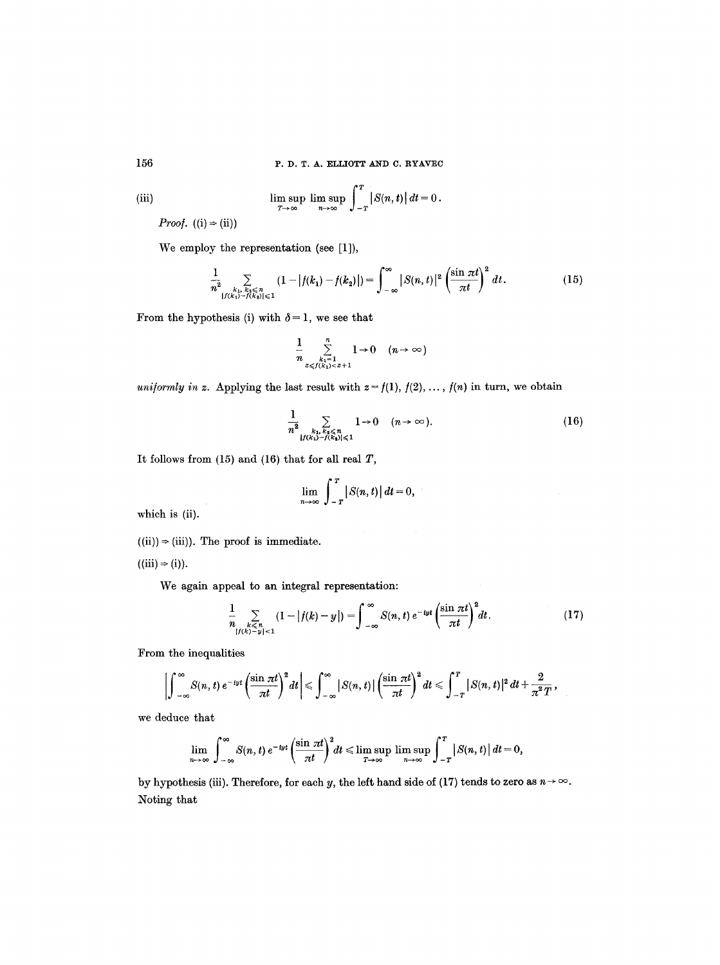156 P.D. T. A. ELLIOTT AND C. RYAVEC

(iii) 
$$
\limsup_{T\to\infty}\limsup_{n\to\infty}\int_{-T}^{T}|S(n,t)|dt=0.
$$

*Proof.*  $((i) \Rightarrow (ii))$ 

We employ the representation (see [1]),

$$
\frac{1}{n^2} \sum_{\substack{k_1, k_2 \leq n \\ |f(k_1) - f(k_2)| \leq 1}} (1 - |f(k_1) - f(k_2)|) = \int_{-\infty}^{\infty} |S(n, t)|^2 \left(\frac{\sin \pi t}{\pi t}\right)^2 dt. \tag{15}
$$

From the hypothesis (i) with  $\delta = 1$ , we see that

$$
\frac{1}{n}\sum_{\substack{k_1=1\\2\leq f(k_1)<2+1}}^n 1\to 0 \quad (n\to\infty)
$$

*uniformly in z.* Applying the last result with  $z = f(1)$ ,  $f(2)$ , ...,  $f(n)$  in turn, we obtain

$$
\frac{1}{n^2} \sum_{\substack{k_1, k_2 \leq n \\ |f(k_1) - f(k_2)| \leq 1}} 1 \to 0 \quad (n \to \infty).
$$
 (16)

It follows from  $(15)$  and  $(16)$  that for all real  $T$ ,

$$
\lim_{n\to\infty}\int_{-T}^{T}\big|S(n,t)\big|\,dt=0,
$$

which is (ii).

 $((ii)) \Rightarrow (iii)$ . The proof is immediate.

 $((iii) \Rightarrow (i)).$ 

We again appeal to an integral representation:

$$
\frac{1}{n}\sum_{\substack{k\leq n\\|f(k)-y|<1}}(1-|f(k)-y|)=\int_{-\infty}^{\infty}S(n,t)\,e^{-iyt}\left(\frac{\sin\pi t}{\pi t}\right)^2dt.\tag{17}
$$

From the inequalities

$$
\left|\int_{-\infty}^{\infty}S(n,t)\,e^{-iyt}\left(\frac{\sin\pi t}{\pi t}\right)^2dt\right|\leqslant \int_{-\infty}^{\infty}\left|S(n,t)\right|\left(\frac{\sin\pi t}{\pi t}\right)^2dt\leqslant \int_{-T}^{T}\left|S(n,t)\right|^2dt+\frac{2}{\pi^2T},
$$

we deduce that

$$
\lim_{n\to\infty}\int_{-\infty}^{\infty}S(n,t)\,e^{-iyt}\left(\frac{\sin\pi t}{\pi t}\right)^2dt\leqslant \limsup_{T\to\infty}\limsup_{n\to\infty}\int_{-T}^{T}\big|S(n,t)\big|\,dt=0,
$$

by hypothesis (iii). Therefore, for each y, the left hand side of (17) tends to zero as  $n \to \infty$ . Noting that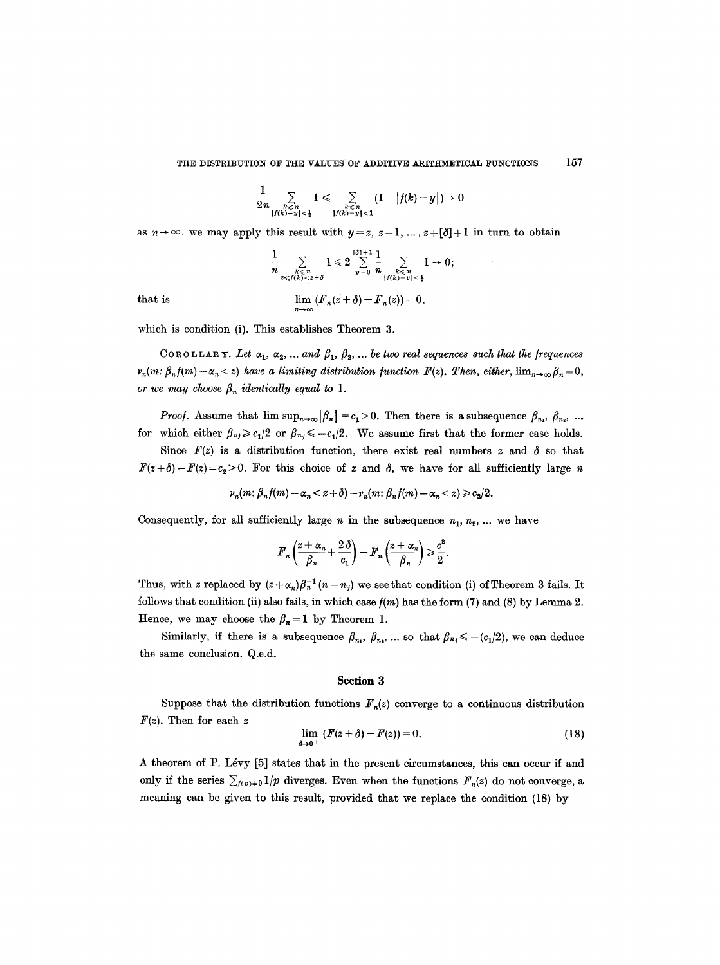### THE DISTRIBUTION OF THE VALUES OF ADDITIVE ARITHMETICAL FUNCTIONS 157

$$
\frac{1}{2n}\sum_{\substack{k\leqslant n\\ |f(k)-y|<\frac{1}{2}}}\hspace{-1mm}1\leqslant\sum_{\substack{k\leqslant n\\ |f(k)-y|<1}}\hspace{-1mm}(1-|f(k)-y|)\hspace{-1mm}+\hspace{-1mm}0
$$

as  $n \to \infty$ , we may apply this result with  $y = z$ ,  $z + 1$ , ...,  $z + [\delta] + 1$  in turn to obtain

$$
\frac{1}{n}\sum_{\substack{k\leqslant n\\2\leqslant f(k)
$$

that is 
$$
\lim_{n\to\infty} (F_n(z+\delta)-F_n(z))=0,
$$

which is condition (i). This establishes Theorem 3.

COROLLARY. Let  $\alpha_1, \alpha_2, \ldots$  and  $\beta_1, \beta_2, \ldots$  be two real sequences such that the frequences  $v_n(m: \beta_n f(m)-\alpha_n< z)$  have a limiting distribution function  $F(z)$ . Then, either,  $\lim_{n\to\infty}\beta_n=0$ , *or we may choose*  $\beta_n$  *identically equal to 1.* 

*Proof.* Assume that  $\limsup_{n\to\infty} |\beta_n| = c_1 > 0$ . Then there is a subsequence  $\beta_{n_1}, \beta_{n_2}, ...$ for which either  $\beta_{nj} \geq c_1/2$  or  $\beta_{nj} \leq -c_1/2$ . We assume first that the former case holds.

Since  $F(z)$  is a distribution function, there exist real numbers z and  $\delta$  so that  $F(z+\delta)-F(z)=c_2>0$ . For this choice of z and  $\delta$ , we have for all sufficiently large n

$$
\nu_n(m; \beta_n f(m) - \alpha_n < z + \delta) - \nu_n(m; \beta_n f(m) - \alpha_n < z) \geqslant c_2/2.
$$

Consequently, for all sufficiently large  $n$  in the subsequence  $n_1, n_2, \ldots$  we have

$$
F_n\left(\frac{z+\alpha_n}{\beta_n}+\frac{2\delta}{c_1}\right)-F_n\left(\frac{z+\alpha_n}{\beta_n}\right)\geqslant \frac{c^2}{2}.
$$

Thus, with z replaced by  $(z+\alpha_n)\beta_n^{-1}(n=n_j)$  we see that condition (i) of Theorem 3 fails. It follows that condition (ii) also fails, in which case  $f(m)$  has the form (7) and (8) by Lemma 2. Hence, we may choose the  $\beta_n = 1$  by Theorem 1.

Similarly, if there is a subsequence  $\beta_n$ ,  $\beta_n$ , ... so that  $\beta_{nj} \leq -\frac{c_1}{2}$ , we can deduce the same conclusion. Q.e.d.

#### **Section 3**

Suppose that the distribution functions  $F_n(z)$  converge to a continuous distribution  $F(z)$ . Then for each z

$$
\lim_{\delta \to 0^+} (F(z + \delta) - F(z)) = 0.
$$
 (18)

A theorem of P. L6vy [5] states that in the present circumstances, this can occur if and only if the series  $\sum_{f(p)+0} 1/p$  diverges. Even when the functions  $F_n(z)$  do not converge, a meaning can be given to this result, provided that we replace the condition (18) by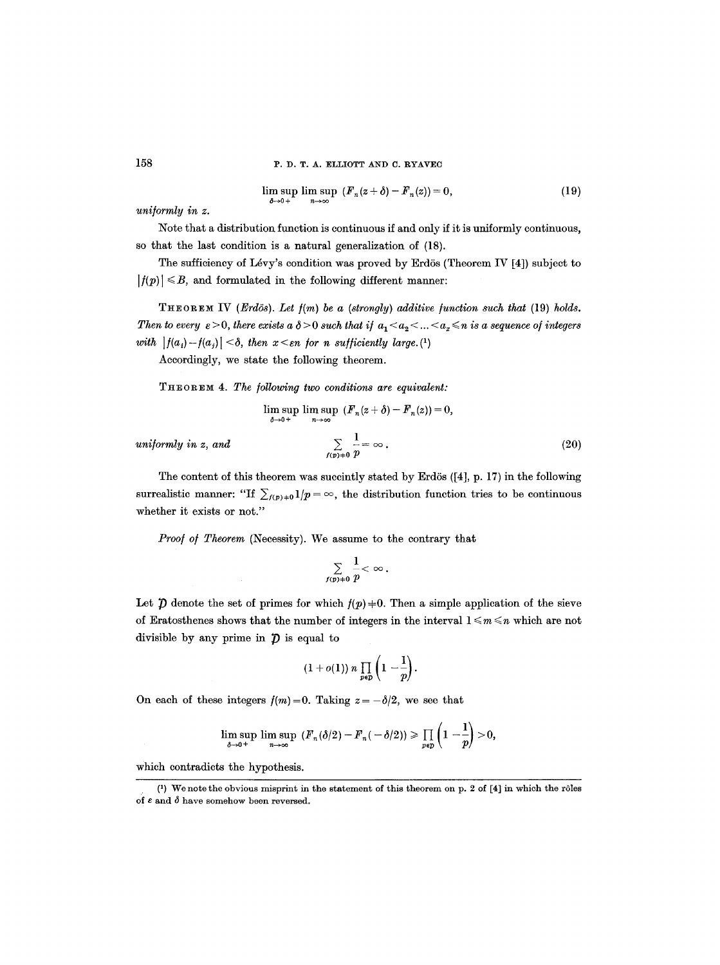$$
\limsup_{\delta \to 0+} \limsup_{n \to \infty} (F_n(z+\delta) - F_n(z)) = 0, \tag{19}
$$

*uni/ormly in z.* 

Note that a distribution function is continuous if and only if it is uniformly continuous, so that the last condition is a natural generalization of (18).

The sufficiency of Lévy's condition was proved by Erdös (Theorem IV  $[4]$ ) subject to  $|f(p)| \leq B$ , and formulated in the following different manner:

THEOREM IV *(Erdös). Let*  $f(m)$  be a *(strongly) additive function such that* (19) *holds. Then to every*  $\varepsilon > 0$ , *there exists a*  $\delta > 0$  such that if  $a_1 < a_2 < ... < a_x \le n$  is a sequence of integers *with*  $|f(a_i)-f(a_j)| < \delta$ , then  $x < \varepsilon$ n for n sufficiently large.<sup>(1)</sup>

Accordingly, we state the following theorem.

THEOREM 4. *The /ollowing two conditions are equivalent:* 

$$
\limsup_{\delta \to 0+} \limsup_{n \to \infty} (F_n(z+\delta)-F_n(z))=0,
$$

*uniformly in z, and* 

$$
\sum_{f(p)\neq 0}\frac{1}{p}=\infty\,.
$$

The content of this theorem was succintly stated by Erdös  $([4], p. 17)$  in the following surrealistic manner: "If  $\sum_{f(p)+0} 1/p = \infty$ , the distribution function tries to be continuous whether it exists or not."

Proof of Theorem (Necessity). We assume to the contrary that

$$
\sum_{f(p)\neq 0}\frac{1}{p}<\infty.
$$

Let  $\hat{p}$  denote the set of primes for which  $f(p) + 0$ . Then a simple application of the sieve of Eratosthenes shows that the number of integers in the interval  $1 \le m \le n$  which are not divisible by any prime in  $\hat{\mathcal{D}}$  is equal to

$$
(1+o(1)) n \prod_{p \in p} \left(1-\frac{1}{p}\right).
$$

On each of these integers  $f(m)=0$ . Taking  $z=-\delta/2$ , we see that

$$
\limsup_{\delta \to 0^+} \limsup_{n \to \infty} (F_n(\delta/2) - F_n(-\delta/2)) \ge \prod_{p \in p} \left(1 - \frac{1}{p}\right) > 0,
$$

which contradicts the hypothesis.

<sup>(1)</sup> We note the obvious misprint in the statement of this theorem on p. 2 of  $[4]$  in which the rôles of  $\varepsilon$  and  $\delta$  have somehow been reversed.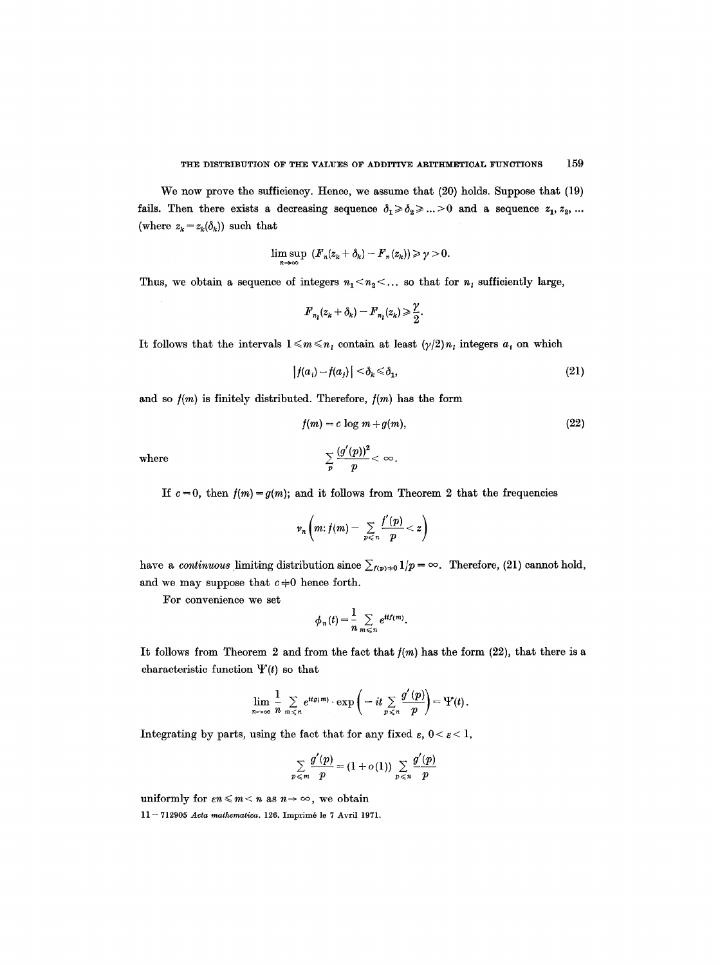We now prove the sufficiency. Hence, we assume that (20) holds. Suppose that (19) fails. Then there exists a decreasing sequence  $\delta_1 \ge \delta_2 \ge ... >0$  and a sequence  $z_1, z_2, ...$ (where  $z_k = z_k(\delta_k)$ ) such that

$$
\limsup_{n\to\infty} (F_n(z_k+\delta_k)-F_n(z_k))\geq \gamma>0.
$$

Thus, we obtain a sequence of integers  $n_1 < n_2 < ...$  so that for  $n_i$  sufficiently large,

$$
\boldsymbol{F}_{n_l}(\boldsymbol{z}_k+\boldsymbol{\delta}_k)-\boldsymbol{F}_{n_l}(\boldsymbol{z}_k)\geqslant \frac{\gamma}{2}.
$$

It follows that the intervals  $1 \leq m \leq n_i$  contain at least  $(\gamma/2)n_i$  integers  $a_i$  on which

$$
|f(a_i) - f(a_j)| < \delta_k \le \delta_1,\tag{21}
$$

and so  $f(m)$  is finitely distributed. Therefore,  $f(m)$  has the form

$$
f(m) = c \log m + g(m),\tag{22}
$$

where  $\sum_{n=1}^{\infty} \frac{\sqrt{p} \cdot p}{n} < \infty$ .

$$
p
$$
 If  $c = 0$ , then  $f(m) = g(m)$ ; and it follows from Theorem 2 that the frequencies

$$
\nu_n\left(m: f(m)-\sum_{p\leqslant n}\frac{f'(p)}{p}
$$

have a *continuous* limiting distribution since  $\sum_{f(p)\neq 0} 1/p = \infty$ . Therefore, (21) cannot hold, and we may suppose that  $c \neq 0$  hence forth.

For convenience we set

$$
\phi_n(t) = \frac{1}{n} \sum_{m \leq n} e^{itf(m)}.
$$

It follows from Theorem 2 and from the fact that  $f(m)$  has the form (22), that there is a characteristic function  $\Psi(t)$  so that

$$
\lim_{n\to\infty}\frac{1}{n}\sum_{m\leq n}e^{itg(m)}\cdot\exp\left(-it\sum_{p\leq n}\frac{g'(p)}{p}\right)=\Psi(t).
$$

Integrating by parts, using the fact that for any fixed  $\varepsilon$ ,  $0 < \varepsilon < 1$ ,

$$
\sum_{p \leqslant m} \frac{g'(p)}{p} = (1 + o(1)) \sum_{p \leqslant n} \frac{g'(p)}{p}
$$

uniformly for  $\epsilon n \leq m < n$  as  $n \to \infty$ , we obtain

11 - 712905 Acta mathematica. 126. Imprimé le 7 Avril 1971.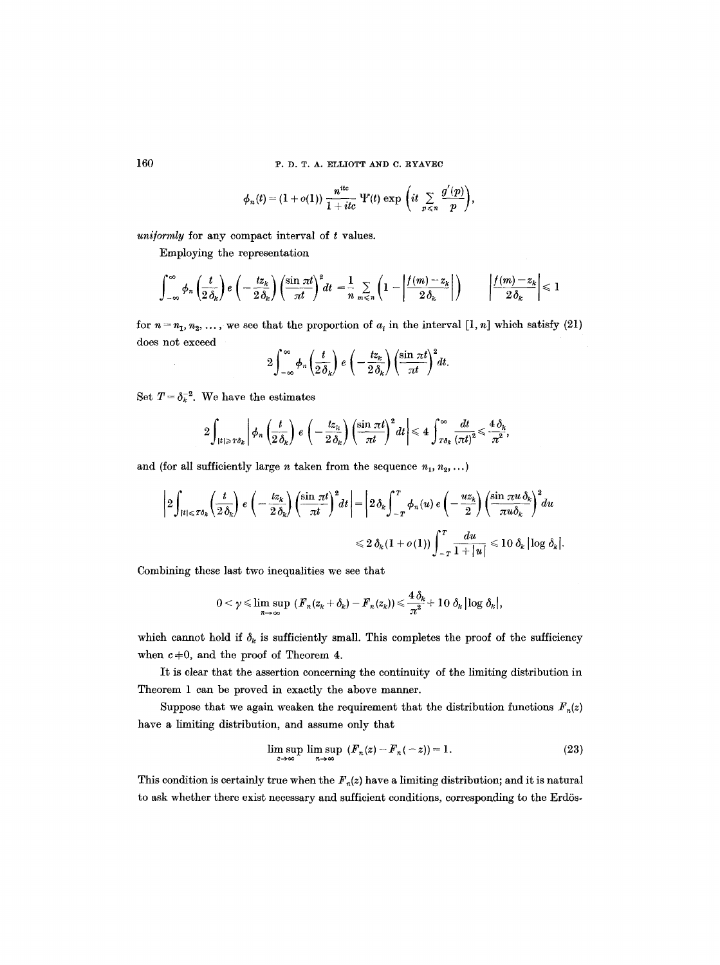160 **P. D. T. A. ELLIOTT AND C. RYAVEC** 

$$
\phi_n(t)=(1+o(1))\;\frac{n^{\text{it}}}{1+itc}\; \Psi(t)\; \text{exp}\;\bigg(it\; \textstyle\sum\limits_{p\,\leqslant\,n}\frac{g'(p)}{p}\bigg),
$$

*uniformly* for any compact interval of t values.

Employing the representation

$$
\int_{-\infty}^{\infty} \phi_n\left(\frac{t}{2\,\delta_k}\right) e\left(-\frac{tz_k}{2\,\delta_k}\right) \left(\frac{\sin \pi t}{\pi t}\right)^2 dt = \frac{1}{n} \sum_{m \leq n} \left(1 - \left|\frac{f(m) - z_k}{2\,\delta_k}\right|\right) \qquad \left|\frac{f(m) - z_k}{2\,\delta_k}\right| \leq 1
$$

for  $n = n_1, n_2, \ldots$ , we see that the proportion of  $a_i$  in the interval [1, n] which satisfy (21) does not exceed

$$
2\int_{-\infty}^{\infty}\phi_n\left(\frac{t}{2\delta_k}\right)e\left(-\frac{tz_k}{2\delta_k}\right)\left(\frac{\sin \pi t}{\pi t}\right)^2dt.
$$

Set  $T = \delta_k^{-2}$ . We have the estimates

$$
2\int_{|t|>r\delta_k}\left|\phi_n\left(\frac{t}{2\,\delta_k}\right)\,e\left(-\frac{t z_k}{2\,\delta_k}\right)\left(\frac{\sin\pi t}{\pi t}\right)^2dt\right|\leqslant 4\,\int_{r\delta_k}^\infty\frac{dt}{(\pi t)^2}\leqslant\frac{4\,\delta_k}{\pi^2},
$$

and (for all sufficiently large *n* taken from the sequence  $n_1, n_2, \ldots$ )

$$
\left|2\int_{|t| \leqslant T\delta_k}\left(\frac{t}{2\,\delta_k}\right)\,e\left(-\frac{tz_k}{2\,\delta_k}\right)\left(\frac{\sin\,\pi t}{\pi t}\right)^2\!dt\right| = \left|2\,\delta_k\int_{-T}^T\phi_n(u)\,e\left(-\frac{uz_k}{2}\right)\left(\frac{\sin\,\pi u\,\delta_k}{\pi u\delta_k}\right)^2\!du
$$
  

$$
\leqslant 2\,\delta_k\,(1+o(1))\int_{-T}^T\frac{du}{1+|u|}\leqslant 10\,\delta_k\left|\log\,\delta_k\right|.
$$

Combining these last two inequalities we see that

$$
0<\gamma \leqslant \limsup_{n\to\infty} \ \left( {F}_n(z_k+\delta_k)-{F}_n(z_k)\right)\leqslant \frac{4\,\delta_k}{\pi^2}+10\,\,\delta_k\,\big|\log \,\delta_k\big|,
$$

which cannot hold if  $\delta_k$  is sufficiently small. This completes the proof of the sufficiency when  $c \neq 0$ , and the proof of Theorem 4.

It is clear that the assertion concerning the continuity of the limiting distribution in Theorem 1 can be proved in exactly the above manner.

Suppose that we again weaken the requirement that the distribution functions  $F_n(z)$ have a limiting distribution, and assume only that

$$
\limsup_{z \to \infty} \limsup_{n \to \infty} (F_n(z) - F_n(-z)) = 1.
$$
 (23)

This condition is certainly true when the  $F_n(z)$  have a limiting distribution; and it is natural to ask whether there exist necessary and sufficient conditions, corresponding to the Erdös-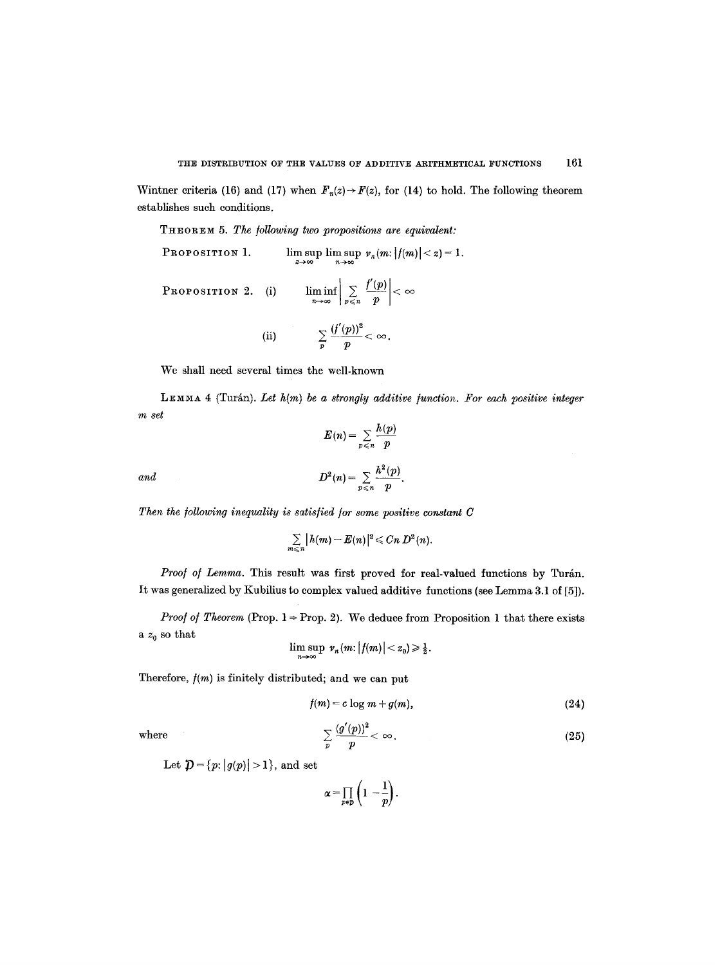Wintner criteria (16) and (17) when  $F_n(z) \to F(z)$ , for (14) to hold. The following theorem establishes such conditions.

THEOREM 5. The following two propositions are equivalent:

PROPOSITION 1. 
$$
\limsup_{z \to \infty} \limsup_{n \to \infty} v_n(m:|f(m)| < z) = 1.
$$
  
PROPOSITION 2. (i) 
$$
\liminf_{n \to \infty} \left| \sum_{p \le n} \frac{f'(p)}{p} \right| < \infty
$$
  
(ii) 
$$
\sum_{p} \frac{(f'(p))^2}{p} < \infty.
$$

We shall need several times the well-known

LEMMA 4 (Turán). Let  $h(m)$  be a strongly additive function. For each positive integer *m set*   $\frac{1}{2}$ 

$$
E(n) = \sum_{p \leq n} \frac{h(p)}{p}
$$
  
and  

$$
D^2(n) = \sum_{p \leq n} \frac{h^2(p)}{p}.
$$

Then the following inequality is satisfied for some positive constant C

$$
\sum_{m\leq n} |h(m)-E(n)|^2 \leqslant Cn D^2(n).
$$

*Proof of Lemma*. This result was first proved for real-valued functions by Turán. It was generalized by Kubilius to complex valued additive functions (see Lemma 3.1 of [5]).

*Proof of Theorem* (Prop.  $1 \Rightarrow$  Prop. 2). We deduce from Proposition 1 that there exists a  $z_0$  so that

$$
\limsup_{n\to\infty} \nu_n(m:|f(m)|
$$

Therefore,  $f(m)$  is finitely distributed; and we can put

$$
f(m) = c \log m + g(m), \qquad (24)
$$

where

$$
\sum_{p} \frac{(g'(p))^2}{p} < \infty. \tag{25}
$$

Let  $\mathcal{D} = \{p: |g(p)| > 1\}$ , and set

$$
\alpha = \prod_{p \in p} \left(1 - \frac{1}{p}\right).
$$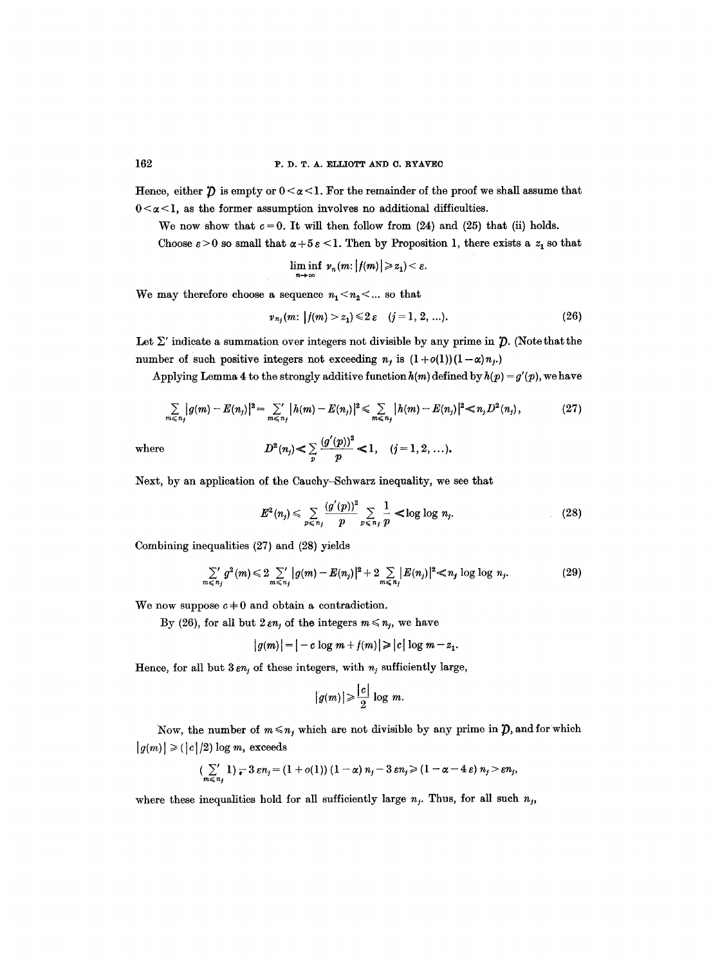Hence, either  $\hat{D}$  is empty or  $0 < \alpha < 1$ . For the remainder of the proof we shall assume that  $0 < \alpha < 1$ , as the former assumption involves no additional difficulties.

We now show that  $c = 0$ . It will then follow from (24) and (25) that (ii) holds.

Choose  $\varepsilon > 0$  so small that  $\alpha + 5\varepsilon < 1$ . Then by Proposition 1, there exists a  $z_1$  so that

$$
\liminf_{n\to\infty} \nu_n(m: |f(m)| \geqslant z_1)<\varepsilon.
$$

We may therefore choose a sequence  $n_1 < n_2 < ...$  so that

$$
\nu_{n_j}(m: |f(m) > z_1) \leq 2\varepsilon \quad (j = 1, 2, ...).
$$
 (26)

Let  $\Sigma'$  indicate a summation over integers not divisible by any prime in  $\hat{D}$ . (Note that the number of such positive integers not exceeding  $n_i$  is  $(1+o(1))(1-\alpha)n_i$ .

Applying Lemma 4 to the strongly additive function  $h(m)$  defined by  $h(p) = g'(p)$ , we have

$$
\sum_{m \leq n_j} |g(m) - E(n_j)|^2 = \sum_{m \leq n_j} |h(m) - E(n_j)|^2 \leq \sum_{m \leq n_j} |h(m) - E(n_j)|^2 \leq n_j D^2(n_j), \qquad (27)
$$

where 
$$
D^2(n_j) \le \sum_p \frac{(g'(p))^2}{p} \le 1
$$
,  $(j = 1, 2, ...)$ .

Next, by an application of the Cauchy-Schwarz inequality, we see that

$$
E^{2}(n_{j}) \leq \sum_{p \leq n_{j}} \frac{(g'(p))^{2}}{p} \sum_{p \leq n_{j}} \frac{1}{p} < \log \log n_{j}.
$$
 (28)

Combining inequalities (27) and (28) yields

$$
\sum_{m \leq n_j} g^2(m) \leq 2 \sum_{m \leq n_j} |g(m) - E(n_j)|^2 + 2 \sum_{m \leq n_j} |E(n_j)|^2 \leq n_j \log \log n_j. \tag{29}
$$

We now suppose  $c \neq 0$  and obtain a contradiction.

By (26), for all but  $2 \varepsilon n_j$  of the integers  $m \le n_j$ , we have

$$
|g(m)| = |-c \log m + f(m)| \geqslant |c| \log m - z_1.
$$

Hence, for all but  $3 \varepsilon n_j$  of these integers, with  $n_j$  sufficiently large,

$$
|g(m)| \geqslant \frac{|c|}{2} \log m.
$$

Now, the number of  $m \le n_j$ , which are not divisible by any prime in  $\mathcal{D}$ , and for which  $|g(m)| \geq (|c|/2) \log m$ , exceeds

$$
(\sum_{m\leq n_j}1) - 3\,\varepsilon n_j = (1+o(1)) (1-\alpha)\,n_j - 3\,\varepsilon n_j \geq (1-\alpha-4\,\varepsilon)\,n_j > \varepsilon n_j,
$$

where these inequalities hold for all sufficiently large  $n_j$ . Thus, for all such  $n_j$ ,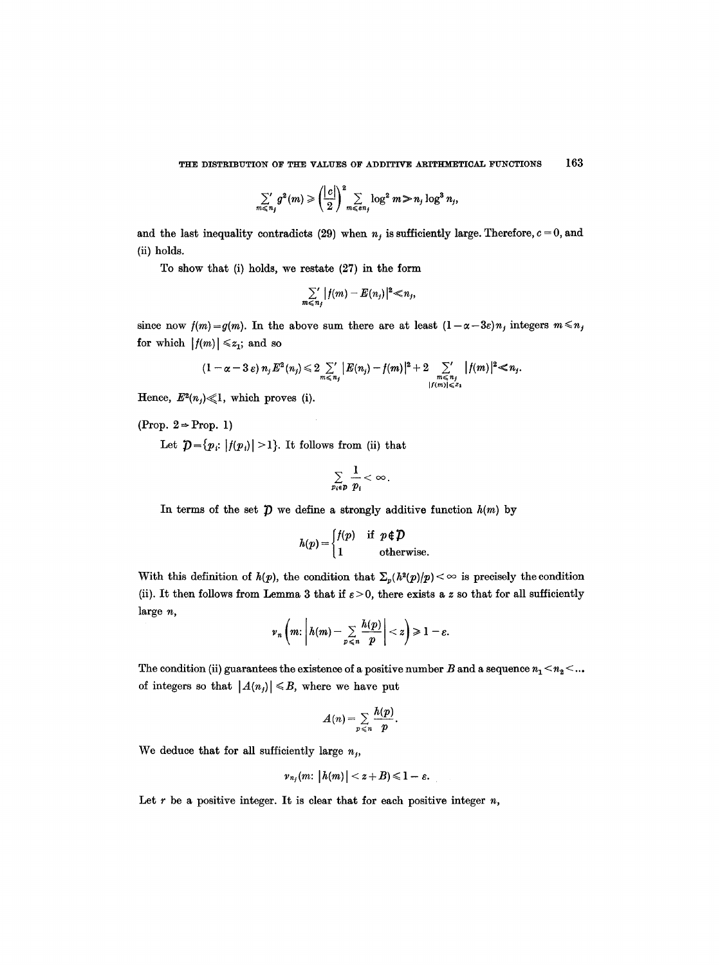$$
\sum_{m \leq n_j} g^2(m) \geqslant \left(\frac{|c|}{2}\right)^2 \sum_{m \leqslant \epsilon n_j} \log^2 m \geqslant n_j \log^3 n_j,
$$

and the last inequality contradicts (29) when  $n_j$  is sufficiently large. Therefore,  $c = 0$ , and (ii) holds.

To show that (i) holds, we restate  $(27)$  in the form

$$
\sum_{m\leqslant n_j} |f(m)-E(n_j)|^2\ll n_j,
$$

since now  $f(m)=g(m)$ . In the above sum there are at least  $(1-\alpha-3\varepsilon)n_j$  integers  $m \le n_j$ for which  $|f(m)| \leq z_1$ ; and so

$$
(1-\alpha-3\varepsilon) n_j E^2(n_j) \leq 2 \sum_{m \leq n_j}^{\infty} |E(n_j)-f(m)|^2 + 2 \sum_{\substack{m \leq n_j \\ |f(m)| \leqslant \varepsilon_1}} |f(m)|^2 \leq n_j.
$$

Hence,  $E^2(n_j) \ll 1$ , which proves (i).

(Prop.  $2 \Rightarrow$  Prop. 1)

Let  $\mathcal{D} = \{p_i: |f(p_i)| > 1\}$ . It follows from (ii) that

$$
\sum_{p_i\in p}\frac{1}{p_i}<\infty.
$$

In terms of the set  $\mathcal D$  we define a strongly additive function  $h(m)$  by

$$
h(p) = \begin{cases} f(p) & \text{if } p \notin \mathcal{D} \\ 1 & \text{otherwise.} \end{cases}
$$

With this definition of  $h(p)$ , the condition that  $\sum_p (h^2(p)/p) < \infty$  is precisely the condition (ii). It then follows from Lemma 3 that if  $\varepsilon > 0$ , there exists a z so that for all sufficiently large n,  $\overline{1}$ 

$$
\nu_n\left(m\colon\left|h(m)-\sum_{p\leqslant n}\frac{h(p)}{p}\right|
$$

The condition (ii) guarantees the existence of a positive number B and a sequence  $n_1 < n_2 < ...$ of integers so that  $|A(n_j)| \le B$ , where we have put

$$
A(n)=\sum_{p\leqslant n}\frac{h(p)}{p}.
$$

We deduce that for all sufficiently large  $n_i$ ,

$$
\nu_{n_j}(m\colon |h(m)| < z+B) \leqslant 1-\varepsilon.
$$

Let  $r$  be a positive integer. It is clear that for each positive integer  $n$ ,